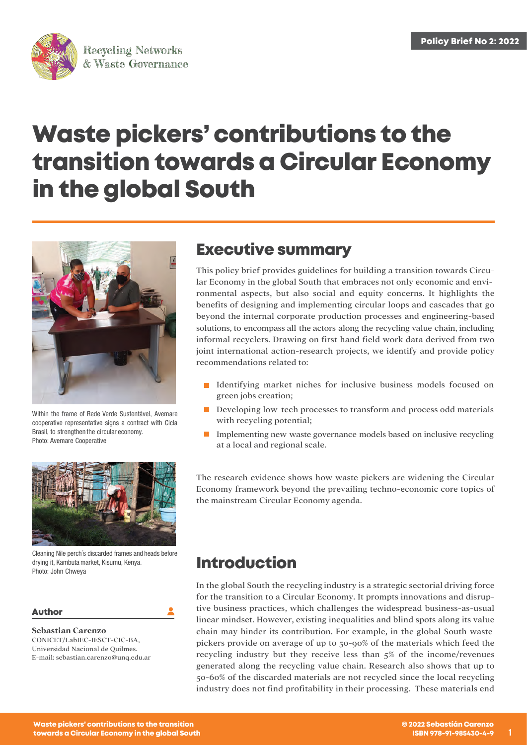

# **Waste pickers' contributions to the transition towards a Circular Economy in the global South**



Within the frame of Rede Verde Sustentável, Avemare cooperative representative signs a contract with Cicla Brasil, to strengthen the circular economy. Photo: Avemare Cooperative



Cleaning Nile perch´s discarded frames and heads before drying it, Kambuta market, Kisumu, Kenya. Photo: John Chweya

### **Author**

**Sebastian Carenzo** CONICET/LabIEC-IESCT-CIC-BA, Universidad Nacional de Quilmes. E-mail: [sebastian.carenzo@unq.edu.ar](mailto:%20sebastian.carenzo@unq.edu.ar)

## **Executive summary**

This policy brief provides guidelines for building a transition towards Circular Economy in the global South that embraces not only economic and environmental aspects, but also social and equity concerns. It highlights the benefits of designing and implementing circular loops and cascades that go beyond the internal corporate production processes and engineering-based solutions, to encompass all the actors along the recycling value chain, including informal recyclers. Drawing on first hand field work data derived from two joint international action-research projects, we identify and provide policy recommendations related to:

- **I** Identifying market niches for inclusive business models focused on green jobs creation;
- Developing low-tech processes to transform and process odd materials with recycling potential;
- Implementing new waste governance models based on inclusive recycling at a local and regional scale.

The research evidence shows how waste pickers are widening the Circular Economy framework beyond the prevailing techno-economic core topics of the mainstream Circular Economy agenda.

### **Introduction**

In the global South the recycling industry is a strategic sectorial driving force for the transition to a Circular Economy. It prompts innovations and disruptive business practices, which challenges the widespread business-as-usual linear mindset. However, existing inequalities and blind spots along its value chain may hinder its contribution. For example, in the global South waste pickers provide on average of up to 50-90% of the materials which feed the recycling industry but they receive less than 5% of the income/revenues generated along the recycling value chain. Research also shows that up to 50-60% of the discarded materials are not recycled since the local recycling industry does not find profitability in their processing. These materials end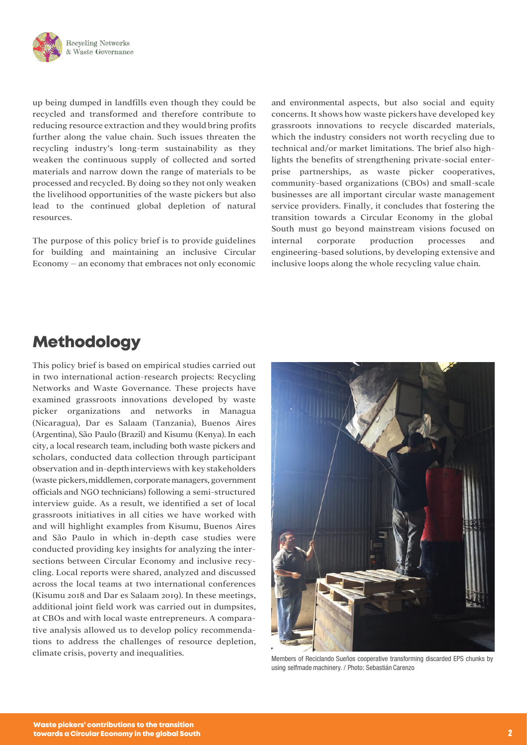

up being dumped in landfills even though they could be recycled and transformed and therefore contribute to reducing resource extraction and they would bring profits further along the value chain. Such issues threaten the recycling industry's long-term sustainability as they weaken the continuous supply of collected and sorted materials and narrow down the range of materials to be processed and recycled. By doing so they not only weaken the livelihood opportunities of the waste pickers but also lead to the continued global depletion of natural resources.

The purpose of this policy brief is to provide guidelines for building and maintaining an inclusive Circular Economy – an economy that embraces not only economic and environmental aspects, but also social and equity concerns. It shows how waste pickers have developed key grassroots innovations to recycle discarded materials, which the industry considers not worth recycling due to technical and/or market limitations. The brief also highlights the benefits of strengthening private-social enterprise partnerships, as waste picker cooperatives, community-based organizations (CBOs) and small-scale businesses are all important circular waste management service providers. Finally, it concludes that fostering the transition towards a Circular Economy in the global South must go beyond mainstream visions focused on internal corporate production processes and engineering-based solutions, by developing extensive and inclusive loops along the whole recycling value chain.

# **Methodology**

This policy brief is based on empirical studies carried out in two international action-research projects: Recycling Networks and Waste Governance. These projects have examined grassroots innovations developed by waste picker organizations and networks in Managua (Nicaragua), Dar es Salaam (Tanzania), Buenos Aires (Argentina), São Paulo (Brazil) and Kisumu (Kenya). In each city, a local research team, including both waste pickers and scholars, conducted data collection through participant observation and in-depthinterviews with key stakeholders (waste pickers,middlemen, corporatemanagers, government officials and NGO technicians) following a semi-structured interview guide. As a result, we identified a set of local grassroots initiatives in all cities we have worked with and will highlight examples from Kisumu, Buenos Aires and São Paulo in which in-depth case studies were conducted providing key insights for analyzing the intersections between Circular Economy and inclusive recycling. Local reports were shared, analyzed and discussed across the local teams at two international conferences (Kisumu 2018 and Dar es Salaam 2019). In these meetings, additional joint field work was carried out in dumpsites, at CBOs and with local waste entrepreneurs. A comparative analysis allowed us to develop policy recommendations to address the challenges of resource depletion, climate crisis, poverty and inequalities.



Members of Reciclando Sueños cooperative transforming discarded EPS chunks by using selfmade machinery. / Photo: Sebastián Carenzo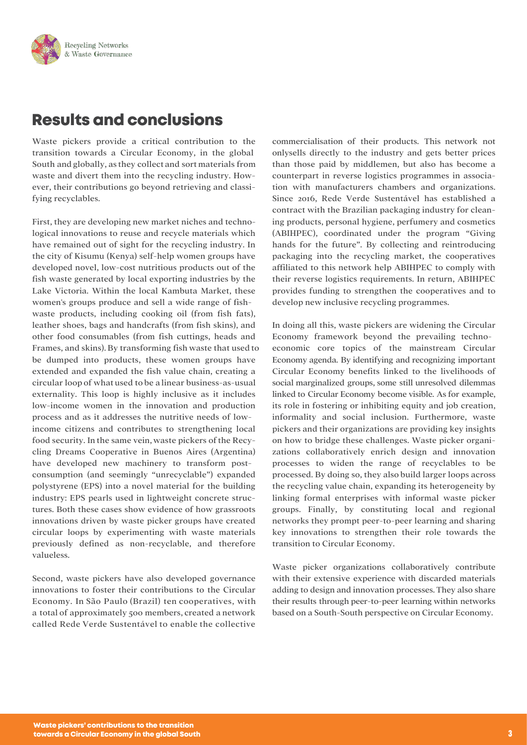

# **Results and conclusions**

Waste pickers provide a critical contribution to the transition towards a Circular Economy, in the global South and globally, as they collect and sort materials from waste and divert them into the recycling industry. However, their contributions go beyond retrieving and classifying recyclables.

First, they are developing new market niches and technological innovations to reuse and recycle materials which have remained out of sight for the recycling industry. In the city of Kisumu (Kenya) self-help women groups have developed novel, low-cost nutritious products out of the fish waste generated by local exporting industries by the Lake Victoria. Within the local Kambuta Market, these women's groups produce and sell a wide range of fishwaste products, including cooking oil (from fish fats), leather shoes, bags and handcrafts (from fish skins), and other food consumables (from fish cuttings, heads and Frames, and skins). By transforming fish waste that used to be dumped into products, these women groups have extended and expanded the fish value chain, creating a circular loop of what used to be a linear business-as-usual externality. This loop is highly inclusive as it includes low-income women in the innovation and production process and as it addresses the nutritive needs of lowincome citizens and contributes to strengthening local food security. In the same vein, waste pickers of the Recycling Dreams Cooperative in Buenos Aires (Argentina) have developed new machinery to transform postconsumption (and seemingly "unrecyclable") expanded polystyrene (EPS) into a novel material for the building industry: EPS pearls used in lightweight concrete structures. Both these cases show evidence of how grassroots innovations driven by waste picker groups have created circular loops by experimenting with waste materials previously defined as non-recyclable, and therefore valueless.

Second, waste pickers have also developed governance innovations to foster their contributions to the Circular Economy. In São Paulo (Brazil) ten cooperatives, with a total of approximately 500 members, created a network called Rede Verde Sustentável to enable the collective

commercialisation of their products. This network not onlysells directly to the industry and gets better prices than those paid by middlemen, but also has become a counterpart in reverse logistics programmes in association with manufacturers chambers and organizations. Since 2016, Rede Verde Sustentável has established a contract with the Brazilian packaging industry for cleaning products, personal hygiene, perfumery and cosmetics (ABIHPEC), coordinated under the program "Giving hands for the future". By collecting and reintroducing packaging into the recycling market, the cooperatives affiliated to this network help ABIHPEC to comply with their reverse logistics requirements. In return, ABIHPEC provides funding to strengthen the cooperatives and to develop new inclusive recycling programmes.

In doing all this, waste pickers are widening the Circular Economy framework beyond the prevailing technoeconomic core topics of the mainstream Circular Economy agenda. By identifying and recognizing important Circular Economy benefits linked to the livelihoods of social marginalized groups, some still unresolved dilemmas linked to Circular Economy become visible. As for example, its role in fostering or inhibiting equity and job creation, informality and social inclusion. Furthermore, waste pickers and their organizations are providing key insights on how to bridge these challenges. Waste picker organizations collaboratively enrich design and innovation processes to widen the range of recyclables to be processed. By doing so, they also build larger loops across the recycling value chain, expanding its heterogeneity by linking formal enterprises with informal waste picker groups. Finally, by constituting local and regional networks they prompt peer-to-peer learning and sharing key innovations to strengthen their role towards the transition to Circular Economy.

Waste picker organizations collaboratively contribute with their extensive experience with discarded materials adding to design and innovation processes. They also share their results through peer-to-peer learning within networks based on a South-South perspective on Circular Economy.